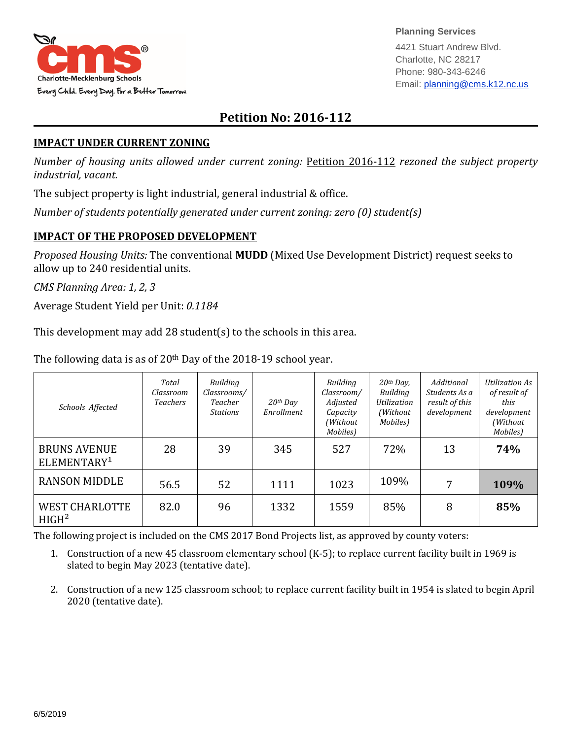

**Planning Services**

4421 Stuart Andrew Blvd. Charlotte, NC 28217 Phone: 980-343-6246 Email: planning@cms.k12.nc.us

## **Petition No: 2016-112**

## **IMPACT UNDER CURRENT ZONING**

*Number of housing units allowed under current zoning:* Petition 2016-112 *rezoned the subject property industrial, vacant.*

The subject property is light industrial, general industrial & office.

*Number of students potentially generated under current zoning: zero (0) student(s)* 

## **IMPACT OF THE PROPOSED DEVELOPMENT**

*Proposed Housing Units:* The conventional **MUDD** (Mixed Use Development District) request seeks to allow up to 240 residential units.

*CMS Planning Area: 1, 2, 3*

Average Student Yield per Unit: *0.1184*

This development may add 28 student(s) to the schools in this area.

The following data is as of 20<sup>th</sup> Day of the 2018-19 school year.

| Schools Affected                               | Total<br>Classroom<br><b>Teachers</b> | Building<br>Classrooms/<br>Teacher<br><b>Stations</b> | $20$ <sup>th</sup> Day<br>Enrollment | <b>Building</b><br>Classroom/<br>Adjusted<br>Capacity<br>(Without<br>Mobiles) | $20th$ Day,<br>Building<br>Utilization<br>(Without)<br>Mobiles) | Additional<br>Students As a<br>result of this<br>development | <b>Utilization As</b><br>of result of<br>this<br>development<br>(Without<br>Mobiles) |
|------------------------------------------------|---------------------------------------|-------------------------------------------------------|--------------------------------------|-------------------------------------------------------------------------------|-----------------------------------------------------------------|--------------------------------------------------------------|--------------------------------------------------------------------------------------|
| <b>BRUNS AVENUE</b><br>ELEMENTARY <sup>1</sup> | 28                                    | 39                                                    | 345                                  | 527                                                                           | 72%                                                             | 13                                                           | 74%                                                                                  |
| <b>RANSON MIDDLE</b>                           | 56.5                                  | 52                                                    | 1111                                 | 1023                                                                          | 109%                                                            | 7                                                            | 109%                                                                                 |
| <b>WEST CHARLOTTE</b><br>HIGH <sup>2</sup>     | 82.0                                  | 96                                                    | 1332                                 | 1559                                                                          | 85%                                                             | 8                                                            | 85%                                                                                  |

The following project is included on the CMS 2017 Bond Projects list, as approved by county voters:

- 1. Construction of a new 45 classroom elementary school (K-5); to replace current facility built in 1969 is slated to begin May 2023 (tentative date).
- 2. Construction of a new 125 classroom school; to replace current facility built in 1954 is slated to begin April 2020 (tentative date).